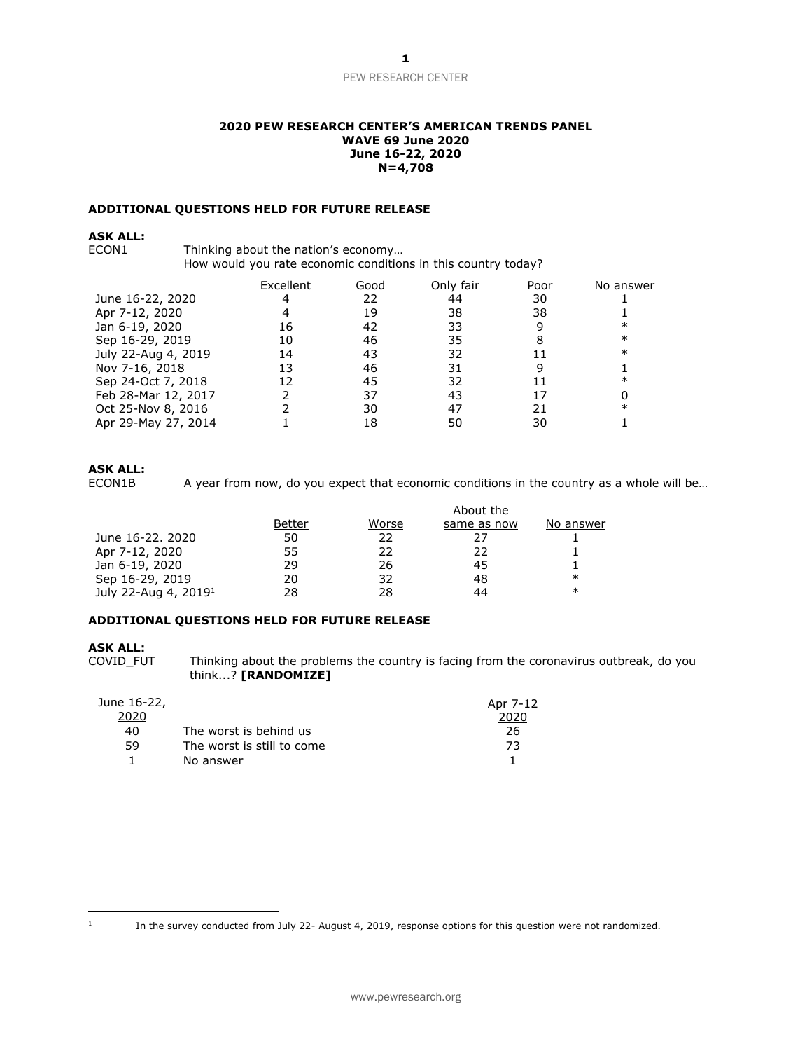### **2020 PEW RESEARCH CENTER'S AMERICAN TRENDS PANEL WAVE 69 June 2020 June 16-22, 2020 N=4,708**

### **ADDITIONAL QUESTIONS HELD FOR FUTURE RELEASE**

# **ASK ALL:**

Thinking about the nation's economy...

How would you rate economic conditions in this country today?

|                     | Excellent | Good | Only fair | Poor | No answer |
|---------------------|-----------|------|-----------|------|-----------|
| June 16-22, 2020    |           | 22   | 44        | 30   |           |
| Apr 7-12, 2020      |           | 19   | 38        | 38   |           |
| Jan 6-19, 2020      | 16        | 42   | 33        |      | ∗         |
| Sep 16-29, 2019     | 10        | 46   | 35        |      | $\ast$    |
| July 22-Aug 4, 2019 | 14        | 43   | 32        |      | ∗         |
| Nov 7-16, 2018      | 13        | 46   | 31        |      |           |
| Sep 24-Oct 7, 2018  | 12        | 45   | 32        |      | ∗         |
| Feb 28-Mar 12, 2017 |           | 37   | 43        |      |           |
| Oct 25-Nov 8, 2016  |           | 30   | 47        | 21   | $\ast$    |
| Apr 29-May 27, 2014 |           | 18   | 50        | 30   |           |

### **ASK ALL:**

ECON1B A year from now, do you expect that economic conditions in the country as a whole will be...

|                                  |        |       | About the   |           |
|----------------------------------|--------|-------|-------------|-----------|
|                                  | Better | Worse | same as now | No answer |
| June 16-22, 2020                 | 50     | 22    | フフ          |           |
| Apr 7-12, 2020                   | 55     | 22    | 22          |           |
| Jan 6-19, 2020                   | 29     | 26    | 45          |           |
| Sep 16-29, 2019                  | 20     | 32    | 48          | $\ast$    |
| July 22-Aug 4, 2019 <sup>1</sup> | 28     | 28    | 44          | $\ast$    |

### **ADDITIONAL QUESTIONS HELD FOR FUTURE RELEASE**

#### **ASK ALL:**

COVID\_FUT Thinking about the problems the country is facing from the coronavirus outbreak, do you think...? **[RANDOMIZE]**

| June 16-22, |                            | Apr 7-12 |
|-------------|----------------------------|----------|
| 2020        |                            | 2020     |
| 40          | The worst is behind us     | 26       |
| 59          | The worst is still to come | 73       |
|             | No answer                  |          |

<sup>1</sup>

In the survey conducted from July 22- August 4, 2019, response options for this question were not randomized.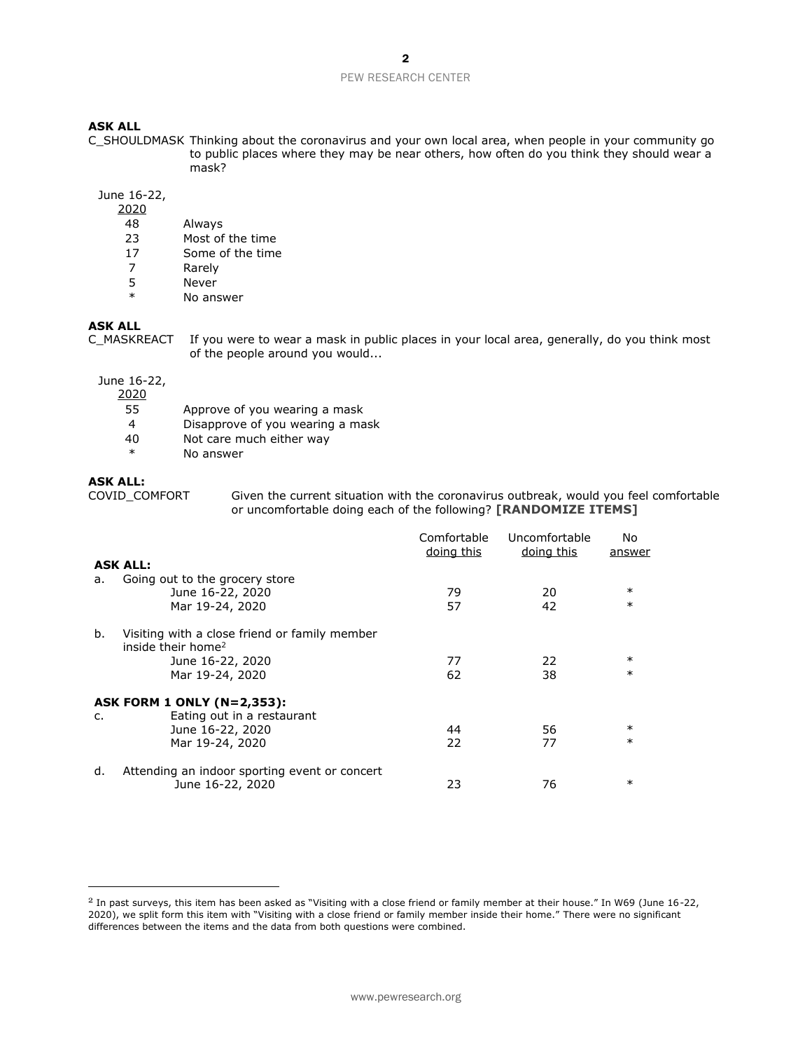#### **ASK ALL**

C\_SHOULDMASK Thinking about the coronavirus and your own local area, when people in your community go to public places where they may be near others, how often do you think they should wear a mask?

June 16-22,

- 2020
- 48 Always
- 23 Most of the time
- 17 Some of the time
- 7 Rarely
- 5 Never<br>\* No. ans
- No answer

### **ASK ALL**

C\_MASKREACT If you were to wear a mask in public places in your local area, generally, do you think most of the people around you would...

#### June 16-22,

2020

- 55 Approve of you wearing a mask
- 4 Disapprove of you wearing a mask
- 40 Not care much either way
- \* No answer

**ASK ALL:**

Given the current situation with the coronavirus outbreak, would you feel comfortable or uncomfortable doing each of the following? **[RANDOMIZE ITEMS]**

|    |                                                                                 | Comfortable<br>doing this | Uncomfortable<br>doing this | No.<br>answer |
|----|---------------------------------------------------------------------------------|---------------------------|-----------------------------|---------------|
|    | <b>ASK ALL:</b>                                                                 |                           |                             |               |
| a. | Going out to the grocery store<br>June 16-22, 2020                              | 79                        | 20                          | $\ast$        |
|    | Mar 19-24, 2020                                                                 | 57                        | 42                          | $\ast$        |
| b. | Visiting with a close friend or family member<br>inside their home <sup>2</sup> |                           |                             |               |
|    | June 16-22, 2020                                                                | 77                        | 22                          | $\ast$        |
|    | Mar 19-24, 2020                                                                 | 62                        | 38                          | $\ast$        |
|    | ASK FORM 1 ONLY (N=2,353):                                                      |                           |                             |               |
| c. | Eating out in a restaurant                                                      |                           |                             |               |
|    | June 16-22, 2020                                                                | 44                        | 56                          | $\ast$        |
|    | Mar 19-24, 2020                                                                 | 22                        | 77                          | $\ast$        |
| d. | Attending an indoor sporting event or concert<br>June 16-22, 2020               | 23                        | 76                          | $\ast$        |

 $2$  In past surveys, this item has been asked as "Visiting with a close friend or family member at their house." In W69 (June 16-22, 2020), we split form this item with "Visiting with a close friend or family member inside their home." There were no significant differences between the items and the data from both questions were combined.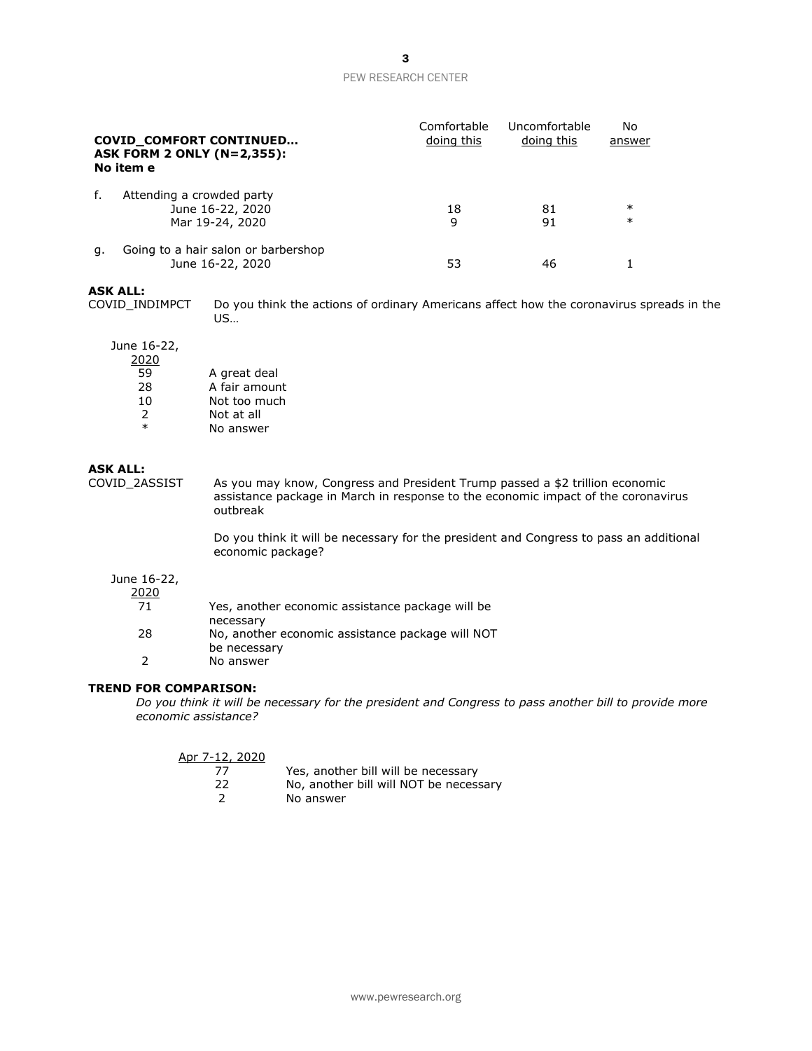| <b>COVID COMFORT CONTINUED</b><br><b>ASK FORM 2 ONLY (N=2,355):</b><br>No item e |                                                                  | Comfortable<br>doing this | Uncomfortable<br>doing this | No<br>answer     |
|----------------------------------------------------------------------------------|------------------------------------------------------------------|---------------------------|-----------------------------|------------------|
| f.                                                                               | Attending a crowded party<br>June 16-22, 2020<br>Mar 19-24, 2020 | 18<br>9                   | 81<br>91                    | $\ast$<br>$\ast$ |
| а.                                                                               | Going to a hair salon or barbershop<br>June 16-22, 2020          | 53                        | 46                          |                  |

#### **ASK ALL:**

COVID\_INDIMPCT Do you think the actions of ordinary Americans affect how the coronavirus spreads in the US…

#### June 16-22,

| 2020          |               |
|---------------|---------------|
| 59            | A great deal  |
| 28            | A fair amount |
| 10            | Not too much  |
| $\mathcal{L}$ | Not at all    |
| $\ast$        | No answer     |

#### **ASK ALL:**

COVID\_2ASSIST As you may know, Congress and President Trump passed a \$2 trillion economic assistance package in March in response to the economic impact of the coronavirus outbreak

> Do you think it will be necessary for the president and Congress to pass an additional economic package?

# June 16-22,

2020

| 71 | Yes, another economic assistance package will be |
|----|--------------------------------------------------|
|    | necessary                                        |
| 28 | No, another economic assistance package will NOT |
|    | be necessary                                     |
|    | No answer                                        |

# **TREND FOR COMPARISON:**

*Do you think it will be necessary for the president and Congress to pass another bill to provide more economic assistance?* 

| Apr 7-12, 2020 |                                        |
|----------------|----------------------------------------|
| 77.            | Yes, another bill will be necessary    |
| 22.            | No, another bill will NOT be necessary |
|                | No answer                              |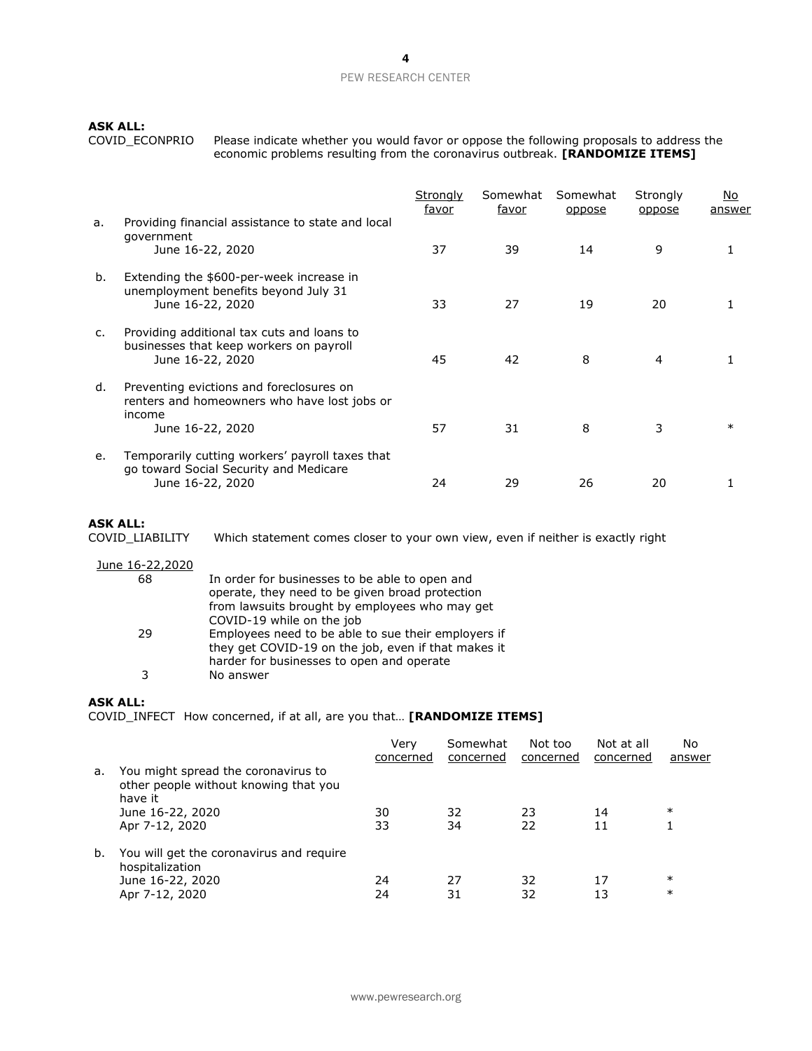**ASK ALL:**

COVID\_ECONPRIO Please indicate whether you would favor or oppose the following proposals to address the economic problems resulting from the coronavirus outbreak. **[RANDOMIZE ITEMS]**

|    |                                                                                                                        | Strongly<br>favor | Somewhat<br>favor | Somewhat<br>oppose | Strongly<br>oppose | No.<br>answer |
|----|------------------------------------------------------------------------------------------------------------------------|-------------------|-------------------|--------------------|--------------------|---------------|
| a. | Providing financial assistance to state and local<br>government<br>June 16-22, 2020                                    | 37                | 39                | 14                 | 9                  |               |
| b. | Extending the \$600-per-week increase in<br>unemployment benefits beyond July 31<br>June 16-22, 2020                   | 33                | 27                | 19                 | 20                 |               |
| c. | Providing additional tax cuts and loans to<br>businesses that keep workers on payroll<br>June 16-22, 2020              | 45                | 42                | 8                  | 4                  |               |
| d. | Preventing evictions and foreclosures on<br>renters and homeowners who have lost jobs or<br>income<br>June 16-22, 2020 | 57                | 31                | 8                  | 3                  | $\ast$        |
| e. | Temporarily cutting workers' payroll taxes that<br>go toward Social Security and Medicare<br>June 16-22, 2020          | 24                | 29                | 26                 | 20                 |               |

## **ASK ALL:**

COVID\_LIABILITY Which statement comes closer to your own view, even if neither is exactly right

| June 16-22,2020 |                                                                                                                                                         |
|-----------------|---------------------------------------------------------------------------------------------------------------------------------------------------------|
| 68              | In order for businesses to be able to open and<br>operate, they need to be given broad protection                                                       |
|                 | from lawsuits brought by employees who may get<br>COVID-19 while on the job                                                                             |
| 29              | Employees need to be able to sue their employers if<br>they get COVID-19 on the job, even if that makes it<br>harder for businesses to open and operate |
| ٦               | No answer                                                                                                                                               |

# **ASK ALL:**

COVID\_INFECT How concerned, if at all, are you that… **[RANDOMIZE ITEMS]**

|    |                                                                                         | Verv<br>concerned | Somewhat<br>concerned | Not too<br>concerned | Not at all<br>concerned | No<br>answer |
|----|-----------------------------------------------------------------------------------------|-------------------|-----------------------|----------------------|-------------------------|--------------|
| a. | You might spread the coronavirus to<br>other people without knowing that you<br>have it |                   |                       |                      |                         |              |
|    | June 16-22, 2020                                                                        | 30                | 32                    | 23                   | 14                      | $\ast$       |
|    | Apr 7-12, 2020                                                                          | 33                | 34                    | 22                   | 11                      |              |
| b. | You will get the coronavirus and require<br>hospitalization                             |                   |                       |                      |                         |              |
|    | June 16-22, 2020                                                                        | 24                | 27                    | 32                   | 17                      | $\ast$       |
|    | Apr 7-12, 2020                                                                          | 24                | 31                    | 32                   | 13                      | $\ast$       |